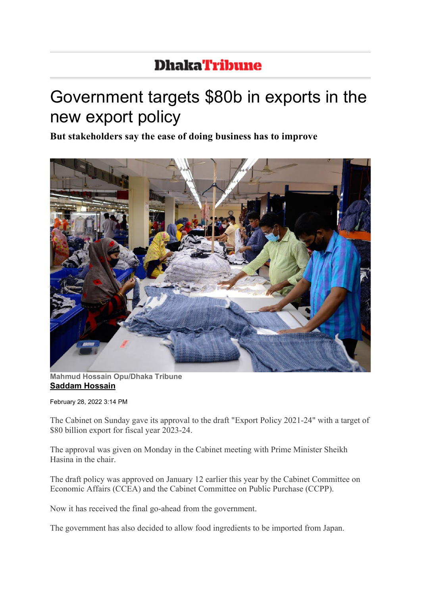## **DhakaTribune**

## Government targets \$80b in exports in the new export policy

**But stakeholders say the ease of doing business has to improve**



**Mahmud Hossain Opu/Dhaka Tribune [Saddam Hossain](https://www.dhakatribune.com/author/Saddam%20Hossain)**

February 28, 2022 3:14 PM

The Cabinet on Sunday gave its approval to the draft "Export Policy 2021-24" with a target of \$80 billion export for fiscal year 2023-24.

The approval was given on Monday in the Cabinet meeting with Prime Minister Sheikh Hasina in the chair.

The draft policy was approved on January 12 earlier this year by the Cabinet Committee on Economic Affairs (CCEA) and the Cabinet Committee on Public Purchase (CCPP).

Now it has received the final go-ahead from the government.

The government has also decided to allow food ingredients to be imported from Japan.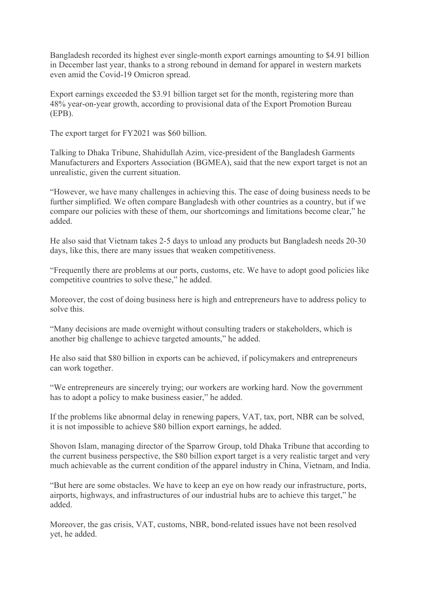Bangladesh recorded its highest ever single-month export earnings amounting to \$4.91 billion in December last year, thanks to a strong rebound in demand for apparel in western markets even amid the Covid-19 Omicron spread.

Export earnings exceeded the \$3.91 billion target set for the month, registering more than 48% year-on-year growth, according to provisional data of the Export Promotion Bureau (EPB).

The export target for FY2021 was \$60 billion.

Talking to Dhaka Tribune, Shahidullah Azim, vice-president of the Bangladesh Garments Manufacturers and Exporters Association (BGMEA), said that the new export target is not an unrealistic, given the current situation.

"However, we have many challenges in achieving this. The ease of doing business needs to be further simplified. We often compare Bangladesh with other countries as a country, but if we compare our policies with these of them, our shortcomings and limitations become clear," he added.

He also said that Vietnam takes 2-5 days to unload any products but Bangladesh needs 20-30 days, like this, there are many issues that weaken competitiveness.

"Frequently there are problems at our ports, customs, etc. We have to adopt good policies like competitive countries to solve these," he added.

Moreover, the cost of doing business here is high and entrepreneurs have to address policy to solve this.

"Many decisions are made overnight without consulting traders or stakeholders, which is another big challenge to achieve targeted amounts," he added.

He also said that \$80 billion in exports can be achieved, if policymakers and entrepreneurs can work together.

"We entrepreneurs are sincerely trying; our workers are working hard. Now the government has to adopt a policy to make business easier," he added.

If the problems like abnormal delay in renewing papers, VAT, tax, port, NBR can be solved, it is not impossible to achieve \$80 billion export earnings, he added.

Shovon Islam, managing director of the Sparrow Group, told Dhaka Tribune that according to the current business perspective, the \$80 billion export target is a very realistic target and very much achievable as the current condition of the apparel industry in China, Vietnam, and India.

"But here are some obstacles. We have to keep an eye on how ready our infrastructure, ports, airports, highways, and infrastructures of our industrial hubs are to achieve this target," he added.

Moreover, the gas crisis, VAT, customs, NBR, bond-related issues have not been resolved yet, he added.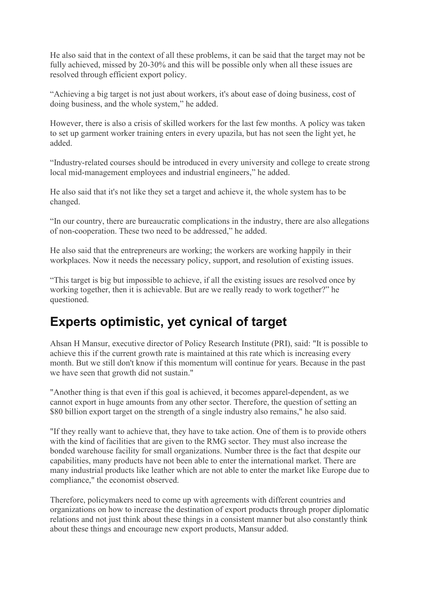He also said that in the context of all these problems, it can be said that the target may not be fully achieved, missed by 20-30% and this will be possible only when all these issues are resolved through efficient export policy.

"Achieving a big target is not just about workers, it's about ease of doing business, cost of doing business, and the whole system," he added.

However, there is also a crisis of skilled workers for the last few months. A policy was taken to set up garment worker training enters in every upazila, but has not seen the light yet, he added.

"Industry-related courses should be introduced in every university and college to create strong local mid-management employees and industrial engineers," he added.

He also said that it's not like they set a target and achieve it, the whole system has to be changed.

"In our country, there are bureaucratic complications in the industry, there are also allegations of non-cooperation. These two need to be addressed," he added.

He also said that the entrepreneurs are working; the workers are working happily in their workplaces. Now it needs the necessary policy, support, and resolution of existing issues.

"This target is big but impossible to achieve, if all the existing issues are resolved once by working together, then it is achievable. But are we really ready to work together?" he questioned.

## **Experts optimistic, yet cynical of target**

Ahsan H Mansur, executive director of Policy Research Institute (PRI), said: "It is possible to achieve this if the current growth rate is maintained at this rate which is increasing every month. But we still don't know if this momentum will continue for years. Because in the past we have seen that growth did not sustain."

"Another thing is that even if this goal is achieved, it becomes apparel-dependent, as we cannot export in huge amounts from any other sector. Therefore, the question of setting an \$80 billion export target on the strength of a single industry also remains," he also said.

"If they really want to achieve that, they have to take action. One of them is to provide others with the kind of facilities that are given to the RMG sector. They must also increase the bonded warehouse facility for small organizations. Number three is the fact that despite our capabilities, many products have not been able to enter the international market. There are many industrial products like leather which are not able to enter the market like Europe due to compliance," the economist observed.

Therefore, policymakers need to come up with agreements with different countries and organizations on how to increase the destination of export products through proper diplomatic relations and not just think about these things in a consistent manner but also constantly think about these things and encourage new export products, Mansur added.